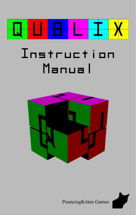

# InstructionManual





PouncingKitten Games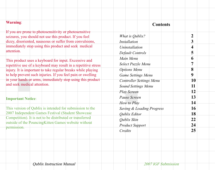| <b>Warning:</b>                                                                                                                                                                           | <b>Contents</b>                                        |                |
|-------------------------------------------------------------------------------------------------------------------------------------------------------------------------------------------|--------------------------------------------------------|----------------|
| If you are prone to photosensitivity or photosensitive<br>seizures, you should not use this product. If you feel<br>dizzy, disoriented, nauseous or suffer from convulsions,              | What is Qublix?<br><b>Installation</b>                 | 2<br>3         |
| immediately stop using this product and seek medical<br>attention.                                                                                                                        | Uninstallation<br>Default Controls                     | 4<br>5         |
| This product uses a keyboard for input. Excessive and<br>repetitive use of a keyboard may result in a repetitive stress                                                                   | Main Menu<br>Select Puzzle Menu                        | 6<br>7         |
| injury. It is important to take regular breaks while playing<br>to help prevent such injuries. If you feel pain or swelling<br>in your hands or arms, immediately stop using this product | <b>Options</b> Menu<br><b>Game Settings Menu</b>       | 8<br>9         |
| and seek medical attention.                                                                                                                                                               | <b>Controller Settings Menu</b><br>Sound Settings Menu | 10<br>11       |
| <b>Important Notice:</b>                                                                                                                                                                  | <b>Play Screen</b><br>Pause Screen<br>How to Play      | 12<br>13<br>14 |
| This version of Qublix is intended for submission to the<br>2007 Independent Games Festival (Student Showcase                                                                             | Saving & Loading Progress<br>Qublix Editor             | 16<br>18       |
| Competition). It is not to be distributed or transferred<br>outside of the PouncingKitten Games website without<br>permission.                                                            | Qublix Skin<br><b>Product Support</b>                  | 22<br>24       |
|                                                                                                                                                                                           | Credits                                                | 25             |
|                                                                                                                                                                                           |                                                        |                |
|                                                                                                                                                                                           |                                                        |                |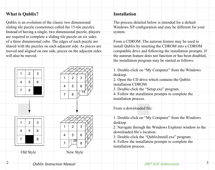# **What is Qublix? Installation**

 $\mathfrak{D}$ 

Qublix is an evolution of the classic two dimensional sliding tile puzzle (sometimes called the 15-tile puzzle). Instead of having a single, two dimensional puzzle, players are required to complete a sliding tile puzzle on six sides of a three dimensional cube. The edges of each puzzle are shared with the puzzles on each adjacent side. As pieces are moved and aligned on one side, pieces on the adjacent sides will also be moved.



The process detailed below is intended for a default Windows XP configuration and may be different for your system.

From a CDROM: The autorun feature may be used to install Qublix by inserting the CDROM into a CDROM compatible drive and following the installation prompts. If the autorun feature does not function or has been disabled, the installation program may be started as follows:

1. Double-click on "My Computer" from the Windows desktop.

2. Open the CD drive which contains the Qublix installation CDROM.

3. Double-click the "Setup.exe" program.

4. Follow the installation prompts to complete the installation process.

From a downloaded file:

1. Double-click on "My Computer" from the Windows desktop.

2. Navigate through the Windows Explorer window to the downloaded file's location.

3. Double-click the "QublixInstall.exe" program.

4. Follow the installation prompts to complete the installation process.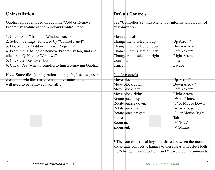| <b>Uninstallation</b>                                                                                                                                                                                                                                                    | <b>Default Controls</b>                                                                                                                                                                                                      |                                                                                                                                                                                                          |
|--------------------------------------------------------------------------------------------------------------------------------------------------------------------------------------------------------------------------------------------------------------------------|------------------------------------------------------------------------------------------------------------------------------------------------------------------------------------------------------------------------------|----------------------------------------------------------------------------------------------------------------------------------------------------------------------------------------------------------|
| Qublix can be removed through the "Add or Remove"<br>Programs" feature of the Windows Control Panel:                                                                                                                                                                     | See "Controller Settings Menu" for information on control<br>customization.                                                                                                                                                  |                                                                                                                                                                                                          |
| 1. Click "Start" from the Windows taskbar.<br>2. Select "Settings" followed by "Control Panel".<br>3. Doubleclick "Add or Remove Programs".<br>4. From the "Change or Remove Programs" tab, find and<br>click the "Qublix for Windows".<br>5. Click the "Remove" button. | Menu controls<br>Change menu selection up:<br>Change menu selection down:<br>Change menu selection left:<br>Change menu selection right:<br>Confirm:                                                                         | Up Arrow*<br>Down Arrow*<br>Left Arrow*<br>Right Arrow*<br>Enter                                                                                                                                         |
| 6. Click "Yes" when prompted to finish removing Qublix.                                                                                                                                                                                                                  | Cancel:                                                                                                                                                                                                                      | Escape                                                                                                                                                                                                   |
| Note: Some files (configuration settings, high scores, user<br>created puzzle files) may remain after uninstallation and<br>will need to be removed manually.                                                                                                            | Puzzle controls<br>Move block up:<br>Move block down:<br>Move block left:<br>Move block right:<br>Rotate puzzle up:<br>Rotate puzzle down:<br>Rotate puzzle left:<br>Rotate puzzle right:<br>Pause:<br>Zoom in:<br>Zoom out: | Up Arrow*<br>Down Arrow*<br>Left Arrow*<br>Right Arrow*<br>'W' or Mouse Up<br>'S' or Mouse Down<br>'A' or Mouse Left<br>'D' or Mouse Right<br>Tab<br>$\leftrightarrow$ (Plus)<br>$\cdot$ $\cdot$ (Minus) |
|                                                                                                                                                                                                                                                                          | * The four directional keys are shared between the menu<br>and puzzle controls. Changes to these keys will affect both<br>the "change menu selection" and "move block" commands.                                             |                                                                                                                                                                                                          |

4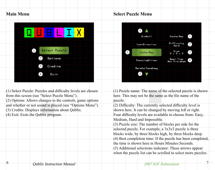# **Main Menu**

6



 $(1)$  Select Puzzle: Puzzles and difficulty levels are chosen from this screen (see "Select Puzzle Menu"). (2) Options: Allows changes to the controls, game options and whether or not sound is played (see "Options Menu"). (3) Credits: Displays information about Qublix. (4) Exit: Exits the Qublix program.

# **Select Puzzle Menu**



(1) Puzzle name: The name of the selected puzzle is shown here. This may not be the same as the file name of the puzzle.

 $(2)$  Difficulty: The currently selected difficulty level is shown here. It can be changed by moving left or right. Four difficulty levels are available to choose from: Easy, Medium, Hard and Impossible.

(3) Puzzle size: The number of blocks per side for the selected puzzle. For example, a 3x3x3 puzzle is three blocks wide, by three blocks high, by three blocks deep. (4) Best completion time: If the puzzle has been completed, the time is shown here in Hours:Minutes:Seconds.(5) Additional selections indicator: These arrows appear when the puzzle list can be scrolled to select more puzzles.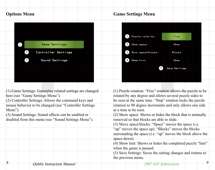# **Options Menu**



(1) Game Settings: Gameplay related settings are changed here (see "Game Settings Menu").

(2) Controller Settings: Allows the command keys and mouse behavior to be changed (see "Controller Settings Menu").

(3) Sound Settings: Sound effects can be enabled or disabled from this menu (see "Sound Settings Menu").

# **Game Settings Menu**



(1) Puzzle rotation: "Free" rotation allows the puzzle to be rotated by any degree and allows several puzzle sides to be seen at the same time. "Step" rotation locks the puzzle rotation to 90 degree increments and only allows one side at a time to be seen.

(2) Show space: Shows or hides the block that is normally removed so that blocks are able to slide.

(3) Move space/blocks: "Space" moves the space (i.e.

"up" moves the space up). "Blocks" moves the blocks" surrounding the space (i.e. "up" moves the block above the space down).

(4) Show hint: Shows or hides the completed puzzle "hint" when the game is paused.

(5) Save Settings: Saves the setting changes and returns to the previous menu.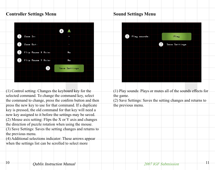# **Controller Settings Menu**



(1) Control setting: Changes the keyboard key for the selected command. To change the command key, select the command to change, press the confirm button and then press the new key to use for that command. If a duplicate key is pressed, the old command for that key will need a new key assigned to it before the settings may be saved. (2) Mouse axis setting: Flips the X or Y axis and changes the direction of puzzle rotation when using the mouse.

(3) Save Settings: Saves the setting changes and returns to the previous menu.

(4) Additional selections indicator: These arrows appear when the settings list can be scrolled to select more

# **Sound Settings Menu**

| (1)<br>Play sounds: | Play                              |
|---------------------|-----------------------------------|
|                     | $\left[2\right]$<br>Save Settings |
|                     |                                   |
|                     |                                   |
|                     |                                   |
|                     |                                   |

(1) Play sounds: Plays or mutes all of the sounds effects for the game.

(2) Save Settings: Saves the setting changes and returns to the previous menu.

10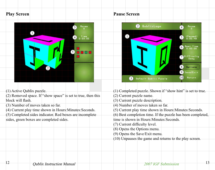# **Play Screen**

12



(1) Active Qublix puzzle. (2) Removed space. If "show space" is set to true, then this block will flash (3) Number of moves taken so far. (4) Current play time shown in Hours:Minutes:Seconds. (5) Completed sides indicator. Red boxes are incomplete sides, green boxes are completed sides. (1) Completed puzzle. Shown if "show hint" is set to true. (2) Current puzzle name. (3) Current puzzle description. (4) Number of moves taken so far. (5) Current play time shown in Hours:Minutes:Seconds. (6) Best completion time. If the puzzle has been completed, time is shown in Hours:Minutes:Seconds. $(7)$  Current difficulty level. (8) Opens the Options menu. (9) Opens the Save/Exit menu. (10) Unpauses the game and returns to the play screen.

## **Pause Screen**



Qublix Instruction Manual <sup>13</sup> 2007 IGF Submission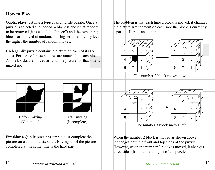# **How to Play**

14

Qublix plays just like a typical sliding tile puzzle. Once a puzzle is selected and loaded, a block is chosen at random to be removed (it is called the "space") and the remaining blocks are moved at random. The higher the difficulty level, the higher the number of random moves.

Each Qublix puzzle contains a picture on each of its six sides. Portions of these pictures are attached to each block. As the blocks are moved around, the picture for that side is mixed up:



Finishing a Qublix puzzle is simple, just complete the picture on each of the six sides. Having all of the pictures completed at the same time is the hard part.

The problem is that each time a block is moved, it changes the picture arrangement on each side the block is currently a part of. Here is an example:



The number 2 block moves down.



The number 3 block moves left.

1

122

4

6

3

3

 $2 \mid 5$ 

5

12

 $\sqrt{15}$ 

10 13

11

8

3

 25 10 17

17 116 111

510

8

When the number 2 block is moved as shown above. it changes both the front and top sides of the puzzle. However, when the number 3 block is moved, it changes three sides (front, top and right) of the puzzle.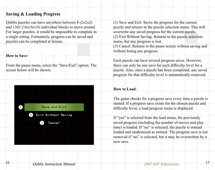# **Saving & Loading Progress**

Qublix puzzles can have anywhere between  $8 (2x2x2)$ and 1362 (16x16x16) individual blocks to move around. For larger puzzles, it would be impossible to complete in a single sitting. Fortunately, progress can be saved and puzzles can be completed at leisure.

#### **How to Save**:

16

From the pause menu, select the "Save/Exit" option. The screen below will be shown:



(1) Save and Exit: Saves the progress for the current puzzle and returns to the puzzle selection menu. This will overwrite any saved progress for the current puzzle. (2) Exit Without Saving: Returns to the puzzle selection menu, but any progress is lost.

(3) Cancel: Returns to the pause screen without saving and without losing any progress.

Each puzzle can have several progress saves. However, there can only be one save for each difficulty level for a puzzle. Also, once a puzzle has been completed, any saved progress for that difficulty level is automatically removed.

### **How to Load**:

The game checks for a progress save every time a puzzle is started. If a progress save exists for the chosen puzzle and difficulty level, a load progress menu is displayed.

If "yes" is selected from the load menu, the previously saved progress (including the number of moves and play time) is loaded. If "no" is selected, the puzzle is instead loaded and randomized as normal. The progress save is not removed if "no" is selected, but it may be overwritten by a new save.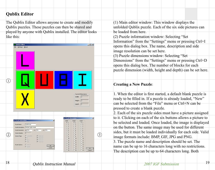# **Qublix Editor**

18

The Qublix Editor allows anyone to create and modify Qublix puzzles. These puzzles can then be shared and played by anyone with Qublix installed. The editor looks like this:



(1) Main editor window: This window displays the unfolded Qublix puzzle. Each of the six side pictures can be loaded from here.(2) Puzzle information window: Selecting "Set Information" from the "Settings" menu or pressing Ctrl+I opens this dialog box. The name, description and side image resolution can be set here. (3) Puzzle dimensions window: Selecting "Set Dimensions" from the "Settings" menu or pressing Ctrl+D opens this dialog box. The number of blocks for each puzzle dimension (width, height and depth) can be set here.

#### **Creating a New Puzzle**:

1. When the editor is first started, a default blank puzzle is ready to be filled in. If a puzzle is already loaded, "New" can be selected from the "File" menu or Ctrl+N can be pressed to create a blank puzzle.

2. Each of the six puzzle sides must have a picture assigned to it. Clicking on each of the six buttons allows a picture to be selected and loaded. Once loaded, the image is displayed on the button. The same image may be used for different sides, but it must be loaded individually for each side. Valid image formats include: BMP, GIF, JPG and PNG.

3. The puzzle name and description should be set. The name can be up to 16 characters long with no restrictions. The description can be up to 64 characters long. Both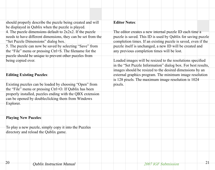| should properly describe the puzzle being created and will   | <b>Editor Notes:</b>                                          |
|--------------------------------------------------------------|---------------------------------------------------------------|
| be displayed in Qublix when the puzzle is played.            |                                                               |
| 4. The puzzle dimensions default to $2x2x2$ . If the puzzle  | The editor creates a new internal puzzle ID each time a       |
| needs to have different dimensions, they can be set from the | puzzle is saved. This ID is used by Qublix for saving puzzle  |
| "Set Puzzle Dimensions" dialog box.                          | completion times. If an existing puzzle is saved, even if the |
| 5. The puzzle can now be saved by selecting "Save" from      | puzzle itself is unchanged, a new ID will be created and      |
| the "File" menu or pressing Ctrl+S. The filename for the     | any previous completion times will be lost.                   |
| puzzle should be unique to prevent other puzzles from        |                                                               |
| being copied over.                                           | Loaded images will be resized to the resolutions specified    |
|                                                              | in the "Set Puzzle Information" dialog box. For best results, |
|                                                              | images should be resized to the desired dimensions by an      |
| <b>Editing Existing Puzzles:</b>                             | external graphics program. The minimum image resolution       |
|                                                              | is 128 pixels. The maximum image resolution is 1024           |
| Existing puzzles can be loaded by choosing "Open" from       | pixels.                                                       |
| the "File" menu or pressing Ctrl+O. If Qublix has been       |                                                               |
| properly installed, puzzles ending with the QBX extension    |                                                               |
| can be opened by doubleclicking them from Windows            |                                                               |
| Explorer.                                                    |                                                               |
|                                                              |                                                               |
|                                                              |                                                               |
| <b>Playing New Puzzles:</b>                                  |                                                               |
|                                                              |                                                               |
| To play a new puzzle, simply copy it into the Puzzles        |                                                               |
| directory and reload the Qublix game.                        |                                                               |
|                                                              |                                                               |
|                                                              |                                                               |
|                                                              |                                                               |
|                                                              |                                                               |
|                                                              |                                                               |
| 20<br><b>Oublix Instruction Manual</b>                       | 21<br>2007 IGE Submission                                     |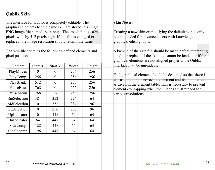# **Qublix Skin**

22

The interface for Qublix is completely editable. The graphical elements for the game skin are stored in a single PNG image file named "skin.png". The image file is 1024 pixels wide by 512 pixels high. If this file is changed or replaced, the image resolution should remain the same.

The skin file contains the following defined elements and pixel positions:

| Element     | Start X  | <b>Start Y</b> | Width | Height |
|-------------|----------|----------------|-------|--------|
| PlayMoves   | 0        | 0              | 256   | 256    |
| PlayComp    | 256      | 0              | 256   | 256    |
| PlayBlank   | 512      | 0              | 256   | 256    |
| PauseBest   | 768      | 0              | 256   | 256    |
| PauseMenu   | 768      | 256            | 256   | 256    |
| SmSelection | 384      | 352            | 224   | 64     |
| MdSelection | $\theta$ | 352            | 384   | 96     |
| LgSelection | 0        | 256            | 768   | 96     |
| UpIndicator | 0        | 448            | 64    | 64     |
| DnIndicator | 64       | 448            | 64    | 64     |
| SideComp    | 128      | 448            | 64    | 64     |
| SideIncomp  | 196      | 448            | 64    | 64     |

#### **Skin Notes**:

Creating a new skin or modifying the default skin is only recommended for advanced users with knowledge of graphical editing tools.

A backup of the skin file should be made before attempting to edit or replace. If the skin file cannot be loaded or if the graphical elements are not aligned properly, the Qublix interface may be unreadable.

Each graphical element should be designed so that there is at least one pixel between the element and its boundaries as given in the element table. This is necessary to prevent element overlapping when the images are stretched for various resolutions.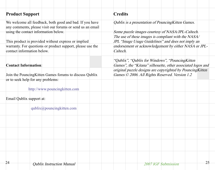| <b>Product Support</b>                                                                                                                                       | <b>Credits</b>                                                                                                   |
|--------------------------------------------------------------------------------------------------------------------------------------------------------------|------------------------------------------------------------------------------------------------------------------|
| We welcome all feedback, both good and bad. If you have<br>any comments, please visit our forums or send us an email<br>using the contact information below. | Qublix is a presentation of Pouncing Kitten Games.<br>Some puzzle images courtesy of NASA/JPL-Caltech.           |
| This product is provided without express or implied                                                                                                          | The use of these images is compliant with the NASA/<br>JPL "Image Usage Guidelines" and does not imply an        |
| warranty. For questions or product support, please use the<br>contact information below.                                                                     | endorsement or acknowledgement by either NASA or JPL-<br>Caltech.                                                |
| <b>Contact Information:</b>                                                                                                                                  | "Qublix", "Qublix for Windows", "Pouncing Kitten"<br>Games", the "Kitana" silhouette, other associated logos and |
| Join the Pouncing Kitten Games forums to discuss Qublix<br>or to seek help for any problems:                                                                 | original puzzle designs are copyrighted by PouncingKitten<br>Games © 2006. All Rights Reserved. Version 1.2      |
| http://www.pouncingkitten.com                                                                                                                                |                                                                                                                  |
| Email Qublix support at:                                                                                                                                     |                                                                                                                  |
| qublix@pouncingkitten.com                                                                                                                                    |                                                                                                                  |
|                                                                                                                                                              |                                                                                                                  |
|                                                                                                                                                              |                                                                                                                  |
|                                                                                                                                                              |                                                                                                                  |
| 24<br>Oubliv Instruction Monual                                                                                                                              | 25<br>$2007$ ICE Cubmission                                                                                      |